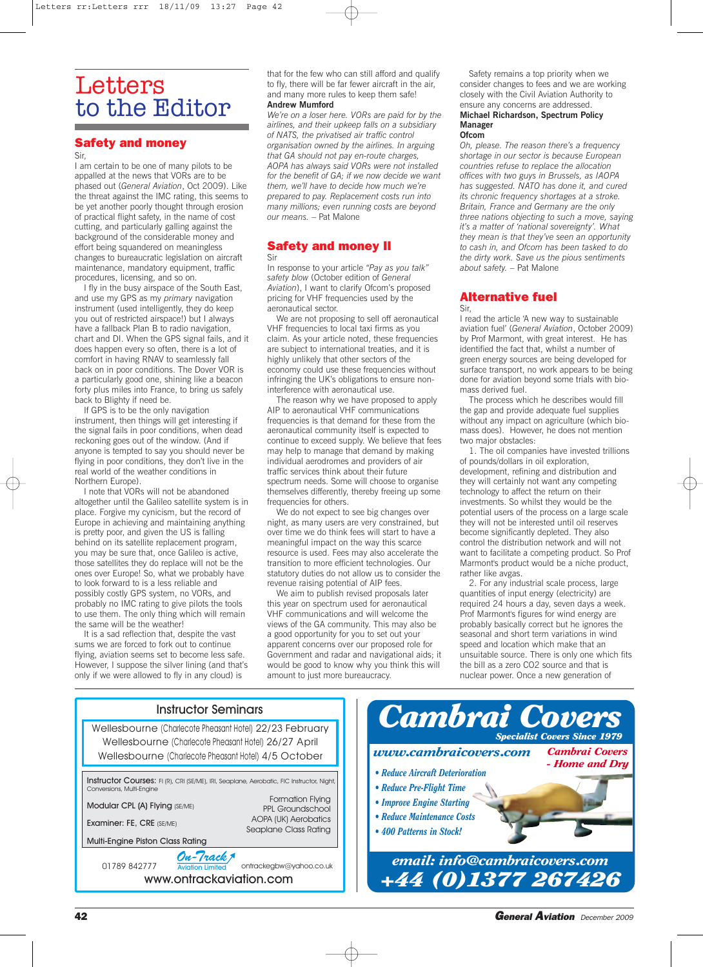# **Letters** to the Editor

## **Safety and money**

Sir,

I am certain to be one of many pilots to be appalled at the news that VORs are to be phased out (*General Aviation*, Oct 2009). Like the threat against the IMC rating, this seems to be yet another poorly thought through erosion of practical flight safety, in the name of cost cutting, and particularly galling against the background of the considerable money and effort being squandered on meaningless changes to bureaucratic legislation on aircraft maintenance, mandatory equipment, traffic procedures, licensing, and so on.

I fly in the busy airspace of the South East, and use my GPS as my *primary* navigation instrument (used intelligently, they do keep you out of restricted airspace!) but I always have a fallback Plan B to radio navigation, chart and DI. When the GPS signal fails, and it does happen every so often, there is a lot of comfort in having RNAV to seamlessly fall back on in poor conditions. The Dover VOR is a particularly good one, shining like a beacon forty plus miles into France, to bring us safely back to Blighty if need be.

If GPS is to be the only navigation instrument, then things will get interesting if the signal fails in poor conditions, when dead reckoning goes out of the window. (And if anyone is tempted to say you should never be flying in poor conditions, they don't live in the real world of the weather conditions in Northern Europe).

I note that VORs will not be abandoned altogether until the Galileo satellite system is in place. Forgive my cynicism, but the record of Europe in achieving and maintaining anything is pretty poor, and given the US is falling behind on its satellite replacement program, you may be sure that, once Galileo is active, those satellites they do replace will not be the ones over Europe! So, what we probably have to look forward to is a less reliable and possibly costly GPS system, no VORs, and probably no IMC rating to give pilots the tools to use them. The only thing which will remain the same will be the weather!

It is a sad reflection that, despite the vast sums we are forced to fork out to continue flying, aviation seems set to become less safe. However, I suppose the silver lining (and that's only if we were allowed to fly in any cloud) is

that for the few who can still afford and qualify to fly, there will be far fewer aircraft in the air, and many more rules to keep them safe! **Andrew Mumford**

*We're on a loser here. VORs are paid for by the airlines, and their upkeep falls on a subsidiary of NATS, the privatised air traffic control organisation owned by the airlines. In arguing that GA should not pay en-route charges, AOPA has always said VORs were not installed for the benefit of GA; if we now decide we want them, we'll have to decide how much we're prepared to pay. Replacement costs run into many millions; even running costs are beyond our means.* – Pat Malone

## **Safety and money II** Sir

In response to your article *"Pay as you talk" safety blow* (October edition of *General Aviation*), I want to clarify Ofcom's proposed pricing for VHF frequencies used by the aeronautical sector.

We are not proposing to sell off aeronautical VHF frequencies to local taxi firms as you claim. As your article noted, these frequencies are subject to international treaties, and it is highly unlikely that other sectors of the economy could use these frequencies without infringing the UK's obligations to ensure noninterference with aeronautical use.

The reason why we have proposed to apply AIP to aeronautical VHF communications frequencies is that demand for these from the aeronautical community itself is expected to continue to exceed supply. We believe that fees may help to manage that demand by making individual aerodromes and providers of air traffic services think about their future spectrum needs. Some will choose to organise themselves differently, thereby freeing up some frequencies for others.

We do not expect to see big changes over night, as many users are very constrained, but over time we do think fees will start to have a meaningful impact on the way this scarce resource is used. Fees may also accelerate the transition to more efficient technologies. Our statutory duties do not allow us to consider the revenue raising potential of AIP fees.

We aim to publish revised proposals later this year on spectrum used for aeronautical VHF communications and will welcome the views of the GA community. This may also be a good opportunity for you to set out your apparent concerns over our proposed role for Government and radar and navigational aids; it would be good to know why you think this will amount to just more bureaucracy.

Safety remains a top priority when we consider changes to fees and we are working closely with the Civil Aviation Authority to ensure any concerns are addressed. **Michael Richardson, Spectrum Policy**

## **Manager Ofcom**

*Oh, please. The reason there's a frequency shortage in our sector is because European countries refuse to replace the allocation offices with two guys in Brussels, as IAOPA has suggested. NATO has done it, and cured its chronic frequency shortages at a stroke. Britain, France and Germany are the only three nations objecting to such a move, saying it's a matter of 'national sovereignty'. What they mean is that they've seen an opportunity to cash in, and Ofcom has been tasked to do the dirty work. Save us the pious sentiments about safety.* – Pat Malone

## **Alternative fuel** Sir,

I read the article 'A new way to sustainable aviation fuel' (*General Aviation*, October 2009) by Prof Marmont, with great interest. He has identified the fact that, whilst a number of green energy sources are being developed for surface transport, no work appears to be being done for aviation beyond some trials with biomass derived fuel.

The process which he describes would fill the gap and provide adequate fuel supplies without any impact on agriculture (which biomass does). However, he does not mention two major obstacles:

1. The oil companies have invested trillions of pounds/dollars in oil exploration, development, refining and distribution and they will certainly not want any competing technology to affect the return on their investments. So whilst they would be the potential users of the process on a large scale they will not be interested until oil reserves become significantly depleted. They also control the distribution network and will not want to facilitate a competing product. So Prof Marmont's product would be a niche product, rather like avgas.

2. For any industrial scale process, large quantities of input energy (electricity) are required 24 hours a day, seven days a week. Prof Marmont's figures for wind energy are probably basically correct but he ignores the seasonal and short term variations in wind speed and location which make that an unsuitable source. There is only one which fits the bill as a zero CO2 source and that is nuclear power. Once a new generation of



*Cambrai Covers - Home and Dry*